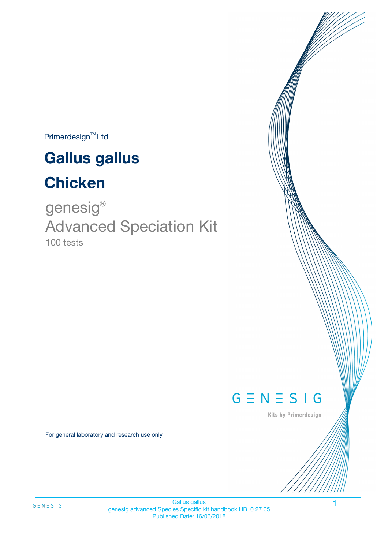$Primerdesign^{\text{TM}}$ Ltd

# **Gallus gallus**

# **Chicken**

100 tests genesig ® Advanced Speciation Kit



Kits by Primerdesign

For general laboratory and research use only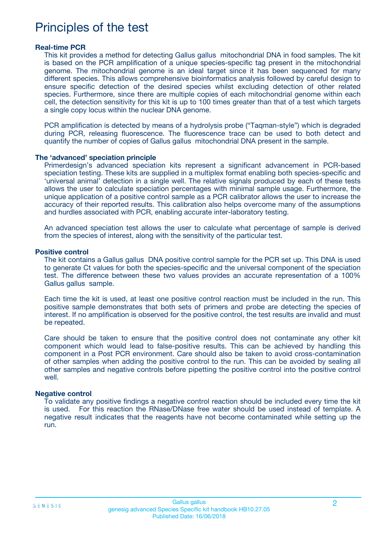## Principles of the test

#### **Real-time PCR**

This kit provides a method for detecting Gallus gallus mitochondrial DNA in food samples. The kit is based on the PCR amplification of a unique species-specific tag present in the mitochondrial genome. The mitochondrial genome is an ideal target since it has been sequenced for many different species. This allows comprehensive bioinformatics analysis followed by careful design to ensure specific detection of the desired species whilst excluding detection of other related species. Furthermore, since there are multiple copies of each mitochondrial genome within each cell, the detection sensitivity for this kit is up to 100 times greater than that of a test which targets a single copy locus within the nuclear DNA genome.

PCR amplification is detected by means of a hydrolysis probe ("Taqman-style") which is degraded during PCR, releasing fluorescence. The fluorescence trace can be used to both detect and quantify the number of copies of Gallus gallus mitochondrial DNA present in the sample.

#### **The 'advanced' speciation principle**

Primerdesign's advanced speciation kits represent a significant advancement in PCR-based speciation testing. These kits are supplied in a multiplex format enabling both species-specific and 'universal animal' detection in a single well. The relative signals produced by each of these tests allows the user to calculate speciation percentages with minimal sample usage. Furthermore, the unique application of a positive control sample as a PCR calibrator allows the user to increase the accuracy of their reported results. This calibration also helps overcome many of the assumptions and hurdles associated with PCR, enabling accurate inter-laboratory testing.

An advanced speciation test allows the user to calculate what percentage of sample is derived from the species of interest, along with the sensitivity of the particular test.

#### **Positive control**

The kit contains a Gallus gallus DNA positive control sample for the PCR set up. This DNA is used to generate Ct values for both the species-specific and the universal component of the speciation test. The difference between these two values provides an accurate representation of a 100% Gallus gallus sample.

Each time the kit is used, at least one positive control reaction must be included in the run. This positive sample demonstrates that both sets of primers and probe are detecting the species of interest. If no amplification is observed for the positive control, the test results are invalid and must be repeated.

Care should be taken to ensure that the positive control does not contaminate any other kit component which would lead to false-positive results. This can be achieved by handling this component in a Post PCR environment. Care should also be taken to avoid cross-contamination of other samples when adding the positive control to the run. This can be avoided by sealing all other samples and negative controls before pipetting the positive control into the positive control well.

#### **Negative control**

To validate any positive findings a negative control reaction should be included every time the kit is used. For this reaction the RNase/DNase free water should be used instead of template. A negative result indicates that the reagents have not become contaminated while setting up the run.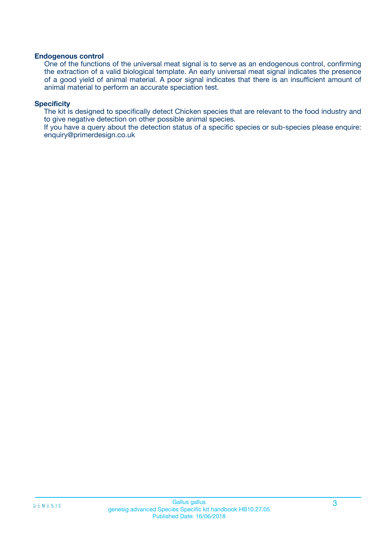#### **Endogenous control**

One of the functions of the universal meat signal is to serve as an endogenous control, confirming the extraction of a valid biological template. An early universal meat signal indicates the presence of a good yield of animal material. A poor signal indicates that there is an insufficient amount of animal material to perform an accurate speciation test.

#### **Specificity**

The kit is designed to specifically detect Chicken species that are relevant to the food industry and to give negative detection on other possible animal species.

If you have a query about the detection status of a specific species or sub-species please enquire: enquiry@primerdesign.co.uk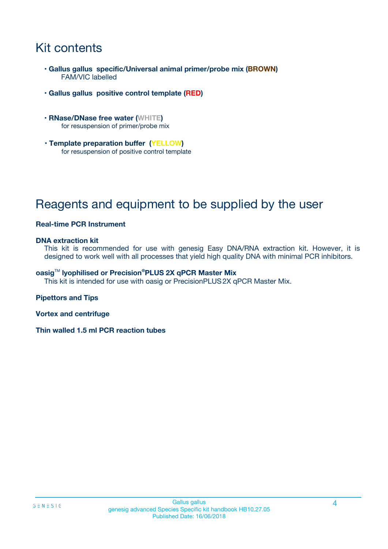# Kit contents

- **Gallus gallus specific/Universal animal primer/probe mix (BROWN)** FAM/VIC labelled
- **Gallus gallus positive control template (RED)**
- **RNase/DNase free water (WHITE)** for resuspension of primer/probe mix
- **Template preparation buffer (YELLOW)** for resuspension of positive control template

# Reagents and equipment to be supplied by the user

#### **Real-time PCR Instrument**

#### **DNA extraction kit**

This kit is recommended for use with genesig Easy DNA/RNA extraction kit. However, it is designed to work well with all processes that yield high quality DNA with minimal PCR inhibitors.

#### **oasig**TM **lyophilised or Precision®PLUS 2X qPCR Master Mix**

This kit is intended for use with oasig or PrecisionPLUS2X qPCR Master Mix.

#### **Pipettors and Tips**

**Vortex and centrifuge**

**Thin walled 1.5 ml PCR reaction tubes**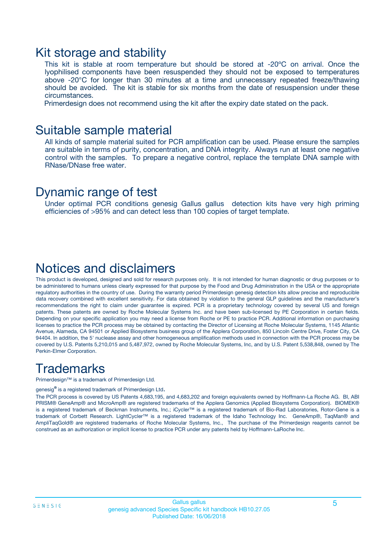### Kit storage and stability

This kit is stable at room temperature but should be stored at -20ºC on arrival. Once the lyophilised components have been resuspended they should not be exposed to temperatures above -20°C for longer than 30 minutes at a time and unnecessary repeated freeze/thawing should be avoided. The kit is stable for six months from the date of resuspension under these circumstances.

Primerdesign does not recommend using the kit after the expiry date stated on the pack.

### Suitable sample material

All kinds of sample material suited for PCR amplification can be used. Please ensure the samples are suitable in terms of purity, concentration, and DNA integrity. Always run at least one negative control with the samples. To prepare a negative control, replace the template DNA sample with RNase/DNase free water.

### Dynamic range of test

Under optimal PCR conditions genesig Gallus gallus detection kits have very high priming efficiencies of >95% and can detect less than 100 copies of target template.

### Notices and disclaimers

This product is developed, designed and sold for research purposes only. It is not intended for human diagnostic or drug purposes or to be administered to humans unless clearly expressed for that purpose by the Food and Drug Administration in the USA or the appropriate regulatory authorities in the country of use. During the warranty period Primerdesign genesig detection kits allow precise and reproducible data recovery combined with excellent sensitivity. For data obtained by violation to the general GLP guidelines and the manufacturer's recommendations the right to claim under guarantee is expired. PCR is a proprietary technology covered by several US and foreign patents. These patents are owned by Roche Molecular Systems Inc. and have been sub-licensed by PE Corporation in certain fields. Depending on your specific application you may need a license from Roche or PE to practice PCR. Additional information on purchasing licenses to practice the PCR process may be obtained by contacting the Director of Licensing at Roche Molecular Systems, 1145 Atlantic Avenue, Alameda, CA 94501 or Applied Biosystems business group of the Applera Corporation, 850 Lincoln Centre Drive, Foster City, CA 94404. In addition, the 5' nuclease assay and other homogeneous amplification methods used in connection with the PCR process may be covered by U.S. Patents 5,210,015 and 5,487,972, owned by Roche Molecular Systems, Inc, and by U.S. Patent 5,538,848, owned by The Perkin-Elmer Corporation.

## **Trademarks**

Primerdesign™ is a trademark of Primerdesign Ltd.

genesig**®** is a registered trademark of Primerdesign Ltd.

The PCR process is covered by US Patents 4,683,195, and 4,683,202 and foreign equivalents owned by Hoffmann-La Roche AG. BI, ABI PRISM® GeneAmp® and MicroAmp® are registered trademarks of the Applera Genomics (Applied Biosystems Corporation). BIOMEK® is a registered trademark of Beckman Instruments, Inc.; iCycler™ is a registered trademark of Bio-Rad Laboratories, Rotor-Gene is a trademark of Corbett Research. LightCycler™ is a registered trademark of the Idaho Technology Inc. GeneAmp®, TaqMan® and AmpliTaqGold® are registered trademarks of Roche Molecular Systems, Inc., The purchase of the Primerdesign reagents cannot be construed as an authorization or implicit license to practice PCR under any patents held by Hoffmann-LaRoche Inc.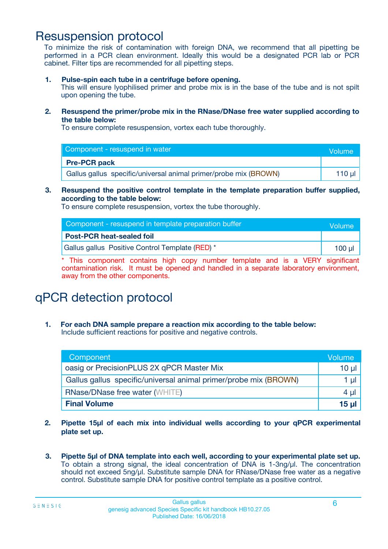### Resuspension protocol

To minimize the risk of contamination with foreign DNA, we recommend that all pipetting be performed in a PCR clean environment. Ideally this would be a designated PCR lab or PCR cabinet. Filter tips are recommended for all pipetting steps.

**1. Pulse-spin each tube in a centrifuge before opening.**

This will ensure lyophilised primer and probe mix is in the base of the tube and is not spilt upon opening the tube.

**2. Resuspend the primer/probe mix in the RNase/DNase free water supplied according to the table below:**

To ensure complete resuspension, vortex each tube thoroughly.

| Component - resuspend in water                                   | Volume   |
|------------------------------------------------------------------|----------|
| <b>Pre-PCR pack</b>                                              |          |
| Gallus gallus specific/universal animal primer/probe mix (BROWN) | 110 µl 1 |

#### **3. Resuspend the positive control template in the template preparation buffer supplied, according to the table below:**

To ensure complete resuspension, vortex the tube thoroughly.

| Component - resuspend in template preparation buffer | Volume |
|------------------------------------------------------|--------|
| <b>Post-PCR heat-sealed foil</b>                     |        |
| Gallus gallus Positive Control Template (RED) *      | 100 ul |

\* This component contains high copy number template and is a VERY significant contamination risk. It must be opened and handled in a separate laboratory environment, away from the other components.

## qPCR detection protocol

**1. For each DNA sample prepare a reaction mix according to the table below:** Include sufficient reactions for positive and negative controls.

| Component                                                        | Volume          |
|------------------------------------------------------------------|-----------------|
| oasig or PrecisionPLUS 2X qPCR Master Mix                        | $10 \mu$        |
| Gallus gallus specific/universal animal primer/probe mix (BROWN) | 1 µl            |
| <b>RNase/DNase free water (WHITE)</b>                            | 4 µl            |
| <b>Final Volume</b>                                              | 15 <sub>µ</sub> |

- **2. Pipette 15µl of each mix into individual wells according to your qPCR experimental plate set up.**
- **3. Pipette 5µl of DNA template into each well, according to your experimental plate set up.** To obtain a strong signal, the ideal concentration of DNA is 1-3ng/µl. The concentration should not exceed 5ng/µl. Substitute sample DNA for RNase/DNase free water as a negative control. Substitute sample DNA for positive control template as a positive control.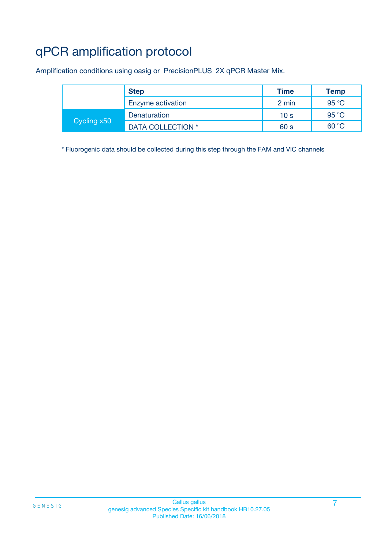# qPCR amplification protocol

Amplification conditions using oasig or PrecisionPLUS 2X qPCR Master Mix.

|             | <b>Step</b>       | <b>Time</b>     | <b>Temp</b> |
|-------------|-------------------|-----------------|-------------|
|             | Enzyme activation | 2 min           | 95 °C       |
| Cycling x50 | Denaturation      | 10 <sub>s</sub> | 95 °C       |
|             | DATA COLLECTION * | 60 s            | 60 °C       |

\* Fluorogenic data should be collected during this step through the FAM and VIC channels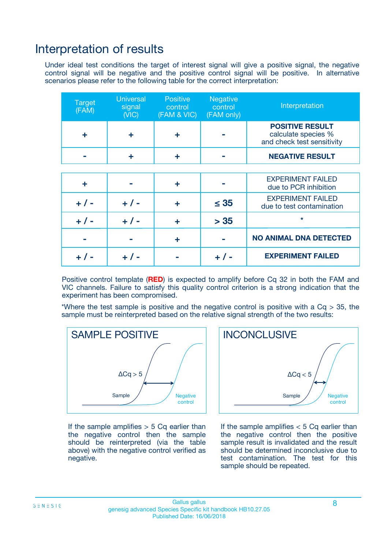### Interpretation of results

Under ideal test conditions the target of interest signal will give a positive signal, the negative control signal will be negative and the positive control signal will be positive. In alternative scenarios please refer to the following table for the correct interpretation:

| <b>Target</b><br>(FAM) | <b>Universal</b><br>signal<br>(NIC) | <b>Positive</b><br>control<br>(FAM & VIC) | <b>Negative</b><br>control<br>(FAM only) | Interpretation                                                              |
|------------------------|-------------------------------------|-------------------------------------------|------------------------------------------|-----------------------------------------------------------------------------|
| ÷                      | ÷                                   | ÷                                         |                                          | <b>POSITIVE RESULT</b><br>calculate species %<br>and check test sensitivity |
|                        |                                     | ÷                                         |                                          | <b>NEGATIVE RESULT</b>                                                      |
|                        |                                     |                                           |                                          |                                                                             |
| ÷                      |                                     | ÷                                         |                                          | <b>EXPERIMENT FAILED</b><br>due to PCR inhibition                           |
| $+$ / -                | $+ 1 -$                             | ٠                                         | $\leq 35$                                | <b>EXPERIMENT FAILED</b><br>due to test contamination                       |
| $+ 1 -$                | $+ 1 -$                             | ÷                                         | > 35                                     | $\star$                                                                     |
|                        |                                     | ÷                                         |                                          | <b>NO ANIMAL DNA DETECTED</b>                                               |
|                        |                                     |                                           | + / -                                    | <b>EXPERIMENT FAILED</b>                                                    |

Positive control template (**RED**) is expected to amplify before Cq 32 in both the FAM and VIC channels. Failure to satisfy this quality control criterion is a strong indication that the experiment has been compromised.

\*Where the test sample is positive and the negative control is positive with a  $Cq > 35$ , the sample must be reinterpreted based on the relative signal strength of the two results:



If the sample amplifies  $> 5$  Cq earlier than the negative control then the sample should be reinterpreted (via the table above) with the negative control verified as negative.



If the sample amplifies  $< 5$  Cq earlier than the negative control then the positive sample result is invalidated and the result should be determined inconclusive due to test contamination. The test for this sample should be repeated.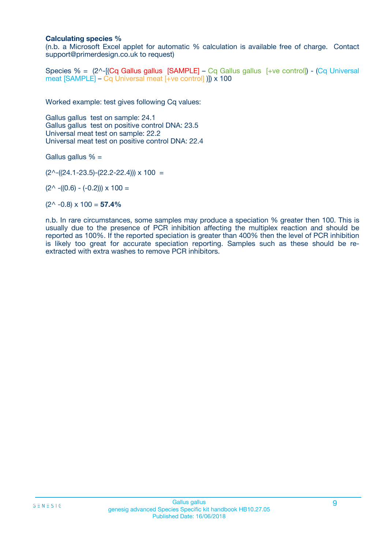#### **Calculating species %**

(n.b. a Microsoft Excel applet for automatic % calculation is available free of charge. Contact support@primerdesign.co.uk to request)

Species % = (2^-[(Cq Gallus gallus [SAMPLE] – Cq Gallus gallus [+ve control]) - (Cq Universal meat [SAMPLE] – Cq Universal meat [+ve control] )]) x 100

Worked example: test gives following Cq values:

Gallus gallus test on sample: 24.1 Gallus gallus test on positive control DNA: 23.5 Universal meat test on sample: 22.2 Universal meat test on positive control DNA: 22.4

Gallus gallus  $% =$ 

 $(2^{\wedge}-(24.1-23.5)-(22.2-22.4))) \times 100 =$ 

 $(2^{\wedge}$  -((0.6) - (-0.2)))  $\times$  100 =

 $(2^{\wedge}$  -0.8)  $\times$  100 = **57.4%** 

n.b. In rare circumstances, some samples may produce a speciation % greater then 100. This is usually due to the presence of PCR inhibition affecting the multiplex reaction and should be reported as 100%. If the reported speciation is greater than 400% then the level of PCR inhibition is likely too great for accurate speciation reporting. Samples such as these should be reextracted with extra washes to remove PCR inhibitors.